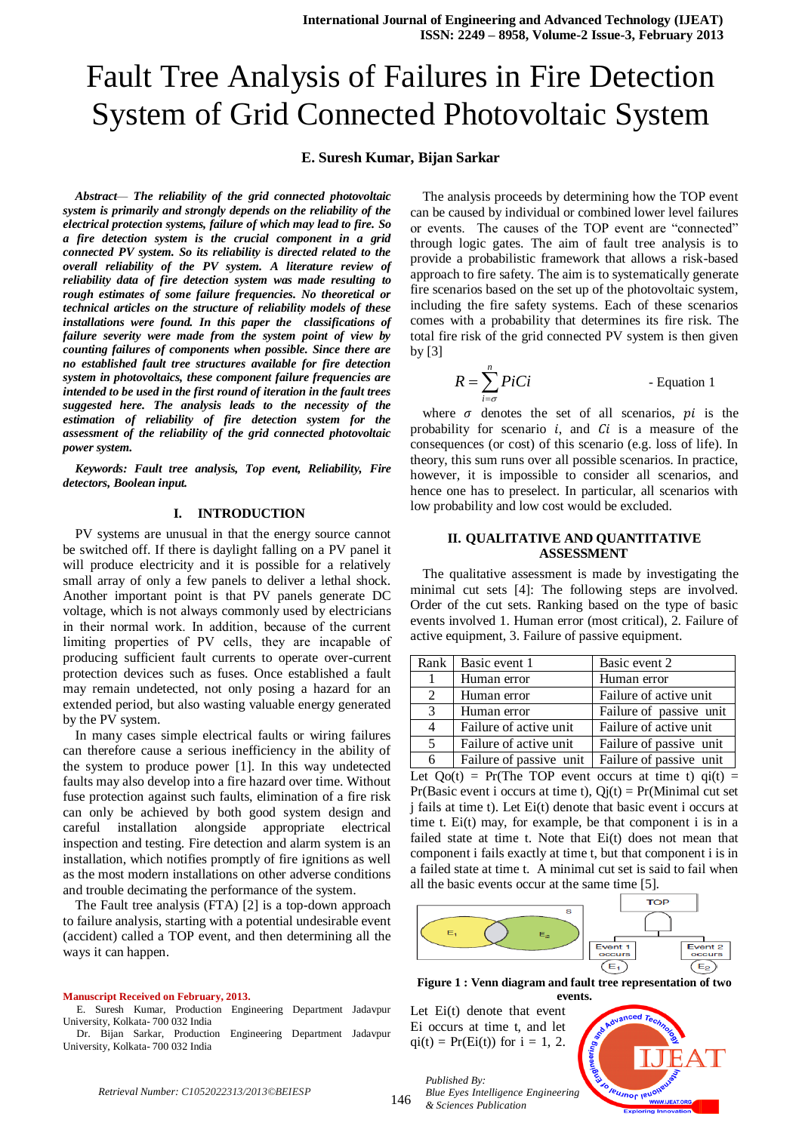## **E. Suresh Kumar, Bijan Sarkar**

*Abstract— The reliability of the grid connected photovoltaic system is primarily and strongly depends on the reliability of the electrical protection systems, failure of which may lead to fire. So a fire detection system is the crucial component in a grid connected PV system. So its reliability is directed related to the overall reliability of the PV system. A literature review of reliability data of fire detection system was made resulting to rough estimates of some failure frequencies. No theoretical or technical articles on the structure of reliability models of these installations were found. In this paper the classifications of failure severity were made from the system point of view by counting failures of components when possible. Since there are no established fault tree structures available for fire detection system in photovoltaics, these component failure frequencies are intended to be used in the first round of iteration in the fault trees suggested here. The analysis leads to the necessity of the estimation of reliability of fire detection system for the assessment of the reliability of the grid connected photovoltaic power system.* 

*Keywords: Fault tree analysis, Top event, Reliability, Fire detectors, Boolean input.*

## **I. INTRODUCTION**

PV systems are unusual in that the energy source cannot be switched off. If there is daylight falling on a PV panel it will produce electricity and it is possible for a relatively small array of only a few panels to deliver a lethal shock. Another important point is that PV panels generate DC voltage, which is not always commonly used by electricians in their normal work. In addition, because of the current limiting properties of PV cells, they are incapable of producing sufficient fault currents to operate over-current protection devices such as fuses. Once established a fault may remain undetected, not only posing a hazard for an extended period, but also wasting valuable energy generated by the PV system.

In many cases simple electrical faults or wiring failures can therefore cause a serious inefficiency in the ability of the system to produce power [1]. In this way undetected faults may also develop into a fire hazard over time. Without fuse protection against such faults, elimination of a fire risk can only be achieved by both good system design and careful installation alongside appropriate electrical inspection and testing. Fire detection and alarm system is an installation, which notifies promptly of fire ignitions as well as the most modern installations on other adverse conditions and trouble decimating the performance of the system.

The Fault tree analysis (FTA) [2] is a top-down approach to failure analysis, starting with a potential undesirable event (accident) called a TOP event, and then determining all the ways it can happen.

#### **Manuscript Received on February, 2013.**

E. Suresh Kumar, Production Engineering Department Jadavpur University, Kolkata- 700 032 India

Dr. Bijan Sarkar, Production Engineering Department Jadavpur University, Kolkata- 700 032 India

The analysis proceeds by determining how the TOP event can be caused by individual or combined lower level failures or events. The causes of the TOP event are "connected" through logic gates. The aim of fault tree analysis is to provide a probabilistic framework that allows a risk-based approach to fire safety. The aim is to systematically generate fire scenarios based on the set up of the photovoltaic system, including the fire safety systems. Each of these scenarios comes with a probability that determines its fire risk. The total fire risk of the grid connected PV system is then given by [3]

$$
R = \sum_{i=\sigma}^{n} P i Ci
$$
 - Equation 1

where  $\sigma$  denotes the set of all scenarios,  $pi$  is the probability for scenario  $i$ , and  $Ci$  is a measure of the consequences (or cost) of this scenario (e.g. loss of life). In theory, this sum runs over all possible scenarios. In practice, however, it is impossible to consider all scenarios, and hence one has to preselect. In particular, all scenarios with low probability and low cost would be excluded.

## **II. QUALITATIVE AND QUANTITATIVE ASSESSMENT**

The qualitative assessment is made by investigating the minimal cut sets [4]: The following steps are involved. Order of the cut sets. Ranking based on the type of basic events involved 1. Human error (most critical), 2. Failure of active equipment, 3. Failure of passive equipment.

| Rank I         | Basic event 1           | Basic event 2           |
|----------------|-------------------------|-------------------------|
|                | Human error             | Human error             |
| $\mathfrak{D}$ | Human error             | Failure of active unit  |
| 3              | Human error             | Failure of passive unit |
| 4              | Failure of active unit  | Failure of active unit  |
| 5              | Failure of active unit  | Failure of passive unit |
| 6              | Failure of passive unit | Failure of passive unit |

Let  $Qo(t)$  = Pr(The TOP event occurs at time t)  $q*i*(t)$  = Pr(Basic event i occurs at time t),  $Qj(t) = Pr(Minimal cut set)$ j fails at time t). Let Ei(t) denote that basic event i occurs at time t. Ei(t) may, for example, be that component i is in a failed state at time t. Note that Ei(t) does not mean that component i fails exactly at time t, but that component i is in a failed state at time t. A minimal cut set is said to fail when all the basic events occur at the same time [5].



**Figure 1 : Venn diagram and fault tree representation of two events.**

Let Ei(t) denote that event Ei occurs at time t, and let  $qi(t) = Pr(Ei(t))$  for  $i = 1, 2$ .

*Published By:*

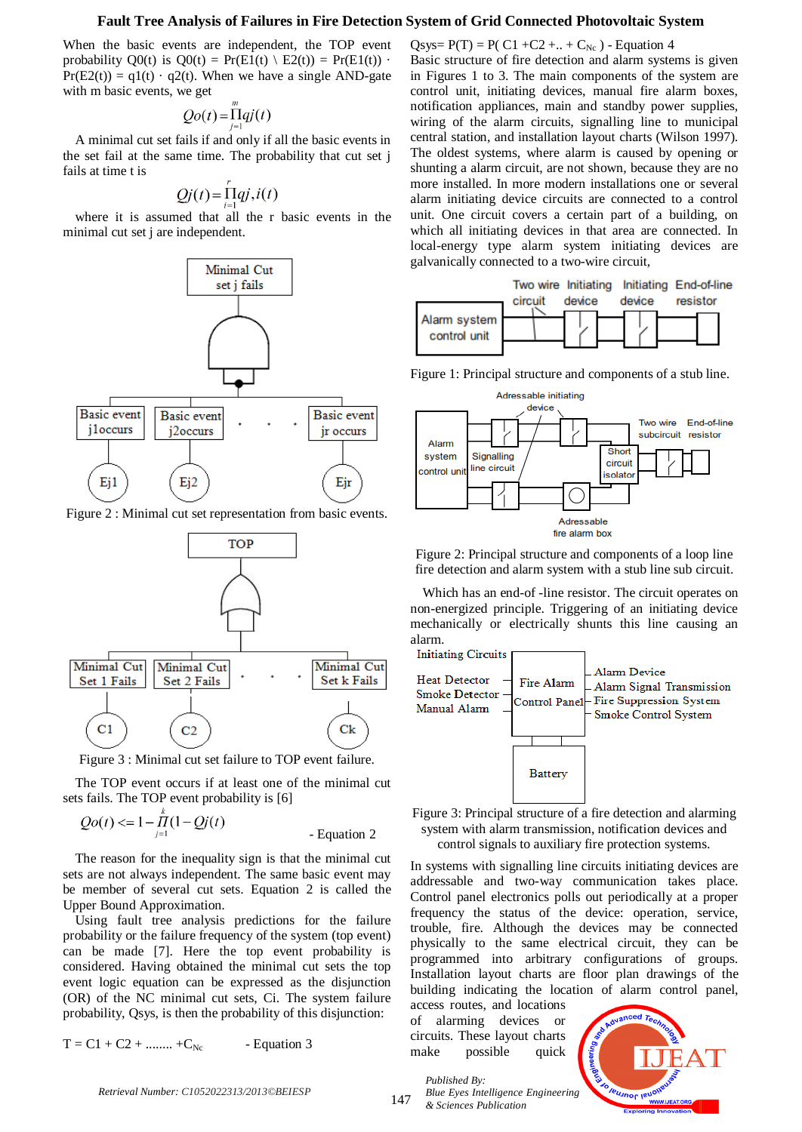When the basic events are independent, the TOP event probability  $O(0)$  is  $O(0) = Pr(E1(t) \setminus E2(t)) = Pr(E1(t))$ .  $Pr(E2(t)) = q1(t) \cdot q2(t)$ . When we have a single AND-gate with m basic events, we get

$$
Qo(t) = \prod_{i=1}^{m} qj(t)
$$

A minimal cut set fails if and only if all the basic events in the set fail at the same time. The probability that cut set j fails at time t is

$$
Qj(t) = \prod_{i=1}^{t} qj, i(t)
$$

where it is assumed that all the r basic events in the minimal cut set j are independent.



Figure 2 : Minimal cut set representation from basic events.



Figure 3 : Minimal cut set failure to TOP event failure.

The TOP event occurs if at least one of the minimal cut sets fails. The TOP event probability is [6]

$$
Qo(t) \leq 1 - \prod_{j=1}^{n} (1 - Qj(t))
$$
 - Equation 2

The reason for the inequality sign is that the minimal cut sets are not always independent. The same basic event may be member of several cut sets. Equation 2 is called the Upper Bound Approximation.

Using fault tree analysis predictions for the failure probability or the failure frequency of the system (top event) can be made [7]. Here the top event probability is considered. Having obtained the minimal cut sets the top event logic equation can be expressed as the disjunction (OR) of the NC minimal cut sets, Ci. The system failure probability, Qsys, is then the probability of this disjunction:

 $T = C1 + C2 + \dots + C_{Nc}$  - Equation 3

Qsys=  $P(T) = P(C1 + C2 + ... + C_{Nc})$  - Equation 4 Basic structure of fire detection and alarm systems is given in Figures 1 to 3. The main components of the system are control unit, initiating devices, manual fire alarm boxes, notification appliances, main and standby power supplies, wiring of the alarm circuits, signalling line to municipal central station, and installation layout charts (Wilson 1997). The oldest systems, where alarm is caused by opening or shunting a alarm circuit, are not shown, because they are no more installed. In more modern installations one or several alarm initiating device circuits are connected to a control unit. One circuit covers a certain part of a building, on which all initiating devices in that area are connected. In local-energy type alarm system initiating devices are galvanically connected to a two-wire circuit,



Figure 1: Principal structure and components of a stub line.



Figure 2: Principal structure and components of a loop line fire detection and alarm system with a stub line sub circuit.

Which has an end-of -line resistor. The circuit operates on non-energized principle. Triggering of an initiating device mechanically or electrically shunts this line causing an alarm.





In systems with signalling line circuits initiating devices are addressable and two-way communication takes place. Control panel electronics polls out periodically at a proper frequency the status of the device: operation, service, trouble, fire. Although the devices may be connected physically to the same electrical circuit, they can be programmed into arbitrary configurations of groups. Installation layout charts are floor plan drawings of the building indicating the location of alarm control panel,

access routes, and locations of alarming devices or circuits. These layout charts make possible quick



*Retrieval Number: C1052022313/2013©BEIESP*

*Published By: Blue Eyes Intelligence Engineering & Sciences Publication*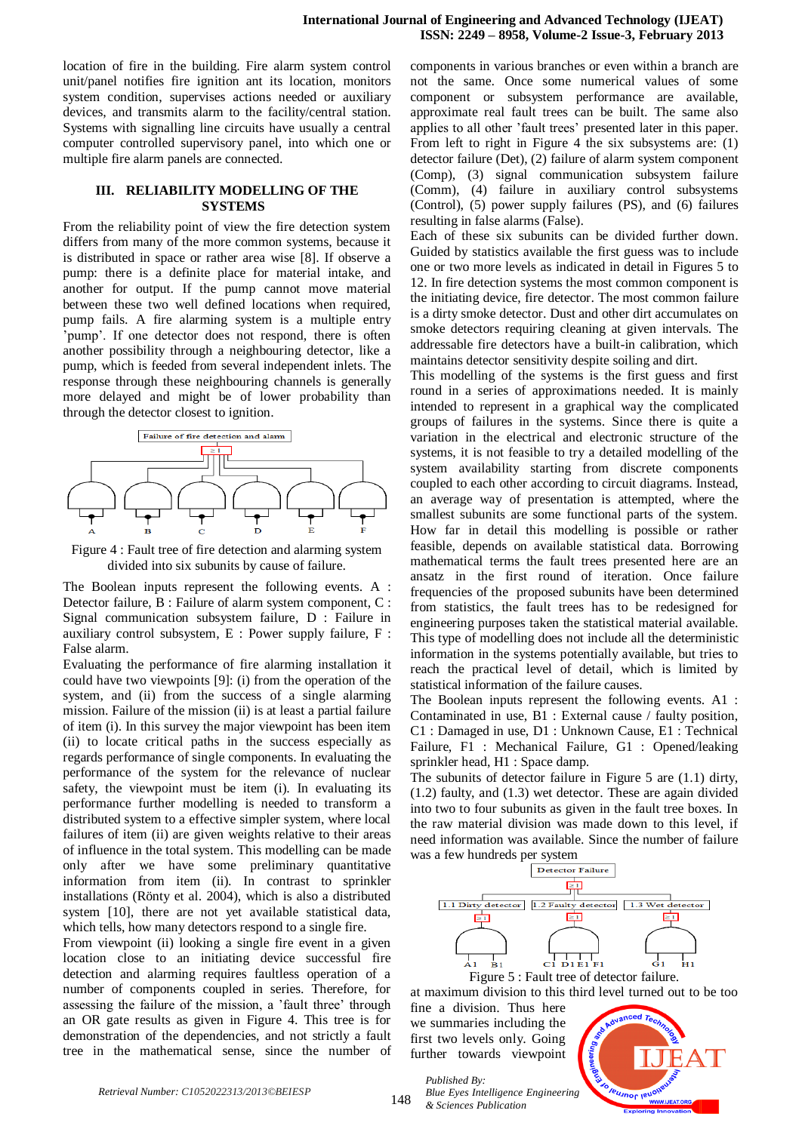location of fire in the building. Fire alarm system control unit/panel notifies fire ignition ant its location, monitors system condition, supervises actions needed or auxiliary devices, and transmits alarm to the facility/central station. Systems with signalling line circuits have usually a central computer controlled supervisory panel, into which one or multiple fire alarm panels are connected.

## **III. RELIABILITY MODELLING OF THE SYSTEMS**

From the reliability point of view the fire detection system differs from many of the more common systems, because it is distributed in space or rather area wise [8]. If observe a pump: there is a definite place for material intake, and another for output. If the pump cannot move material between these two well defined locations when required, pump fails. A fire alarming system is a multiple entry 'pump'. If one detector does not respond, there is often another possibility through a neighbouring detector, like a pump, which is feeded from several independent inlets. The response through these neighbouring channels is generally more delayed and might be of lower probability than through the detector closest to ignition.



Figure 4 : Fault tree of fire detection and alarming system divided into six subunits by cause of failure.

The Boolean inputs represent the following events. A : Detector failure, B : Failure of alarm system component, C : Signal communication subsystem failure, D : Failure in auxiliary control subsystem, E : Power supply failure, F : False alarm.

Evaluating the performance of fire alarming installation it could have two viewpoints [9]: (i) from the operation of the system, and (ii) from the success of a single alarming mission. Failure of the mission (ii) is at least a partial failure of item (i). In this survey the major viewpoint has been item (ii) to locate critical paths in the success especially as regards performance of single components. In evaluating the performance of the system for the relevance of nuclear safety, the viewpoint must be item (i). In evaluating its performance further modelling is needed to transform a distributed system to a effective simpler system, where local failures of item (ii) are given weights relative to their areas of influence in the total system. This modelling can be made only after we have some preliminary quantitative information from item (ii). In contrast to sprinkler installations (Rönty et al. 2004), which is also a distributed system [10], there are not yet available statistical data, which tells, how many detectors respond to a single fire.

From viewpoint (ii) looking a single fire event in a given location close to an initiating device successful fire detection and alarming requires faultless operation of a number of components coupled in series. Therefore, for assessing the failure of the mission, a 'fault three' through an OR gate results as given in Figure 4. This tree is for demonstration of the dependencies, and not strictly a fault tree in the mathematical sense, since the number of

components in various branches or even within a branch are not the same. Once some numerical values of some component or subsystem performance are available, approximate real fault trees can be built. The same also applies to all other 'fault trees' presented later in this paper. From left to right in Figure 4 the six subsystems are: (1) detector failure (Det), (2) failure of alarm system component (Comp), (3) signal communication subsystem failure (Comm), (4) failure in auxiliary control subsystems (Control), (5) power supply failures (PS), and (6) failures resulting in false alarms (False).

Each of these six subunits can be divided further down. Guided by statistics available the first guess was to include one or two more levels as indicated in detail in Figures 5 to 12. In fire detection systems the most common component is the initiating device, fire detector. The most common failure is a dirty smoke detector. Dust and other dirt accumulates on smoke detectors requiring cleaning at given intervals. The addressable fire detectors have a built-in calibration, which maintains detector sensitivity despite soiling and dirt.

This modelling of the systems is the first guess and first round in a series of approximations needed. It is mainly intended to represent in a graphical way the complicated groups of failures in the systems. Since there is quite a variation in the electrical and electronic structure of the systems, it is not feasible to try a detailed modelling of the system availability starting from discrete components coupled to each other according to circuit diagrams. Instead, an average way of presentation is attempted, where the smallest subunits are some functional parts of the system. How far in detail this modelling is possible or rather feasible, depends on available statistical data. Borrowing mathematical terms the fault trees presented here are an ansatz in the first round of iteration. Once failure frequencies of the proposed subunits have been determined from statistics, the fault trees has to be redesigned for engineering purposes taken the statistical material available. This type of modelling does not include all the deterministic information in the systems potentially available, but tries to reach the practical level of detail, which is limited by statistical information of the failure causes.

The Boolean inputs represent the following events. A1 : Contaminated in use, B1 : External cause / faulty position, C1 : Damaged in use, D1 : Unknown Cause, E1 : Technical Failure, F1 : Mechanical Failure, G1 : Opened/leaking sprinkler head, H1 : Space damp.

The subunits of detector failure in Figure 5 are (1.1) dirty, (1.2) faulty, and (1.3) wet detector. These are again divided into two to four subunits as given in the fault tree boxes. In the raw material division was made down to this level, if need information was available. Since the number of failure was a few hundreds per system



Figure 5 : Fault tree of detector failure.

at maximum division to this third level turned out to be too

fine a division. Thus here we summaries including the first two levels only. Going further towards viewpoint

*Published By:*

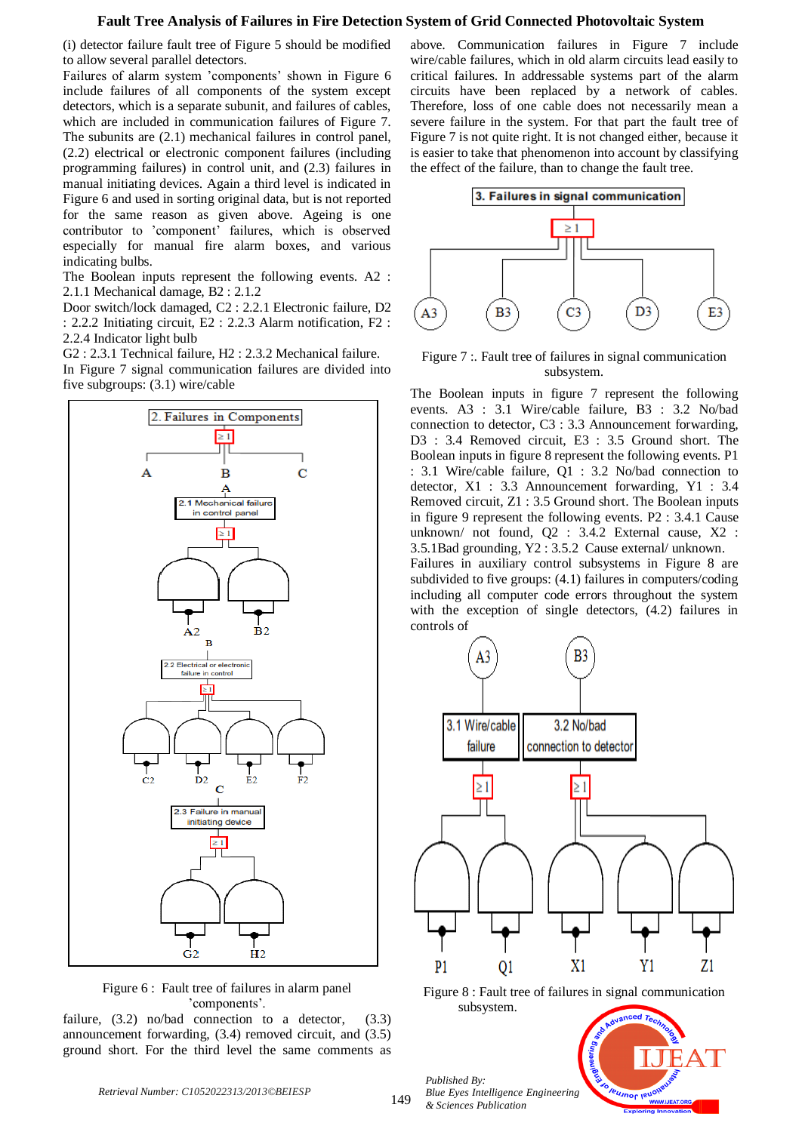(i) detector failure fault tree of Figure 5 should be modified to allow several parallel detectors.

Failures of alarm system 'components' shown in Figure 6 include failures of all components of the system except detectors, which is a separate subunit, and failures of cables, which are included in communication failures of Figure 7. The subunits are (2.1) mechanical failures in control panel, (2.2) electrical or electronic component failures (including programming failures) in control unit, and (2.3) failures in manual initiating devices. Again a third level is indicated in Figure 6 and used in sorting original data, but is not reported for the same reason as given above. Ageing is one contributor to 'component' failures, which is observed especially for manual fire alarm boxes, and various indicating bulbs.

The Boolean inputs represent the following events. A2 : 2.1.1 Mechanical damage, B2 : 2.1.2

Door switch/lock damaged, C2 : 2.2.1 Electronic failure, D2 : 2.2.2 Initiating circuit, E2 : 2.2.3 Alarm notification, F2 : 2.2.4 Indicator light bulb

G2 : 2.3.1 Technical failure, H2 : 2.3.2 Mechanical failure. In Figure 7 signal communication failures are divided into five subgroups: (3.1) wire/cable



Figure 6 : Fault tree of failures in alarm panel 'components'.

failure,  $(3.2)$  no/bad connection to a detector,  $(3.3)$ announcement forwarding, (3.4) removed circuit, and (3.5) ground short. For the third level the same comments as

above. Communication failures in Figure 7 include wire/cable failures, which in old alarm circuits lead easily to critical failures. In addressable systems part of the alarm circuits have been replaced by a network of cables. Therefore, loss of one cable does not necessarily mean a severe failure in the system. For that part the fault tree of Figure 7 is not quite right. It is not changed either, because it is easier to take that phenomenon into account by classifying the effect of the failure, than to change the fault tree.



Figure 7 :. Fault tree of failures in signal communication subsystem.

The Boolean inputs in figure 7 represent the following events. A3 : 3.1 Wire/cable failure, B3 : 3.2 No/bad connection to detector, C3 : 3.3 Announcement forwarding, D3 : 3.4 Removed circuit, E3 : 3.5 Ground short. The Boolean inputs in figure 8 represent the following events. P1 : 3.1 Wire/cable failure, Q1 : 3.2 No/bad connection to detector, X1 : 3.3 Announcement forwarding, Y1 : 3.4 Removed circuit, Z1 : 3.5 Ground short. The Boolean inputs in figure 9 represent the following events. P2 : 3.4.1 Cause unknown/ not found, Q2 : 3.4.2 External cause, X2 : 3.5.1Bad grounding, Y2 : 3.5.2 Cause external/ unknown.

Failures in auxiliary control subsystems in Figure 8 are subdivided to five groups: (4.1) failures in computers/coding including all computer code errors throughout the system with the exception of single detectors, (4.2) failures in controls of



Figure 8 : Fault tree of failures in signal communication subsystem.

**EUJNOF IEUO** 

*Published By: Blue Eyes Intelligence Engineering & Sciences Publication*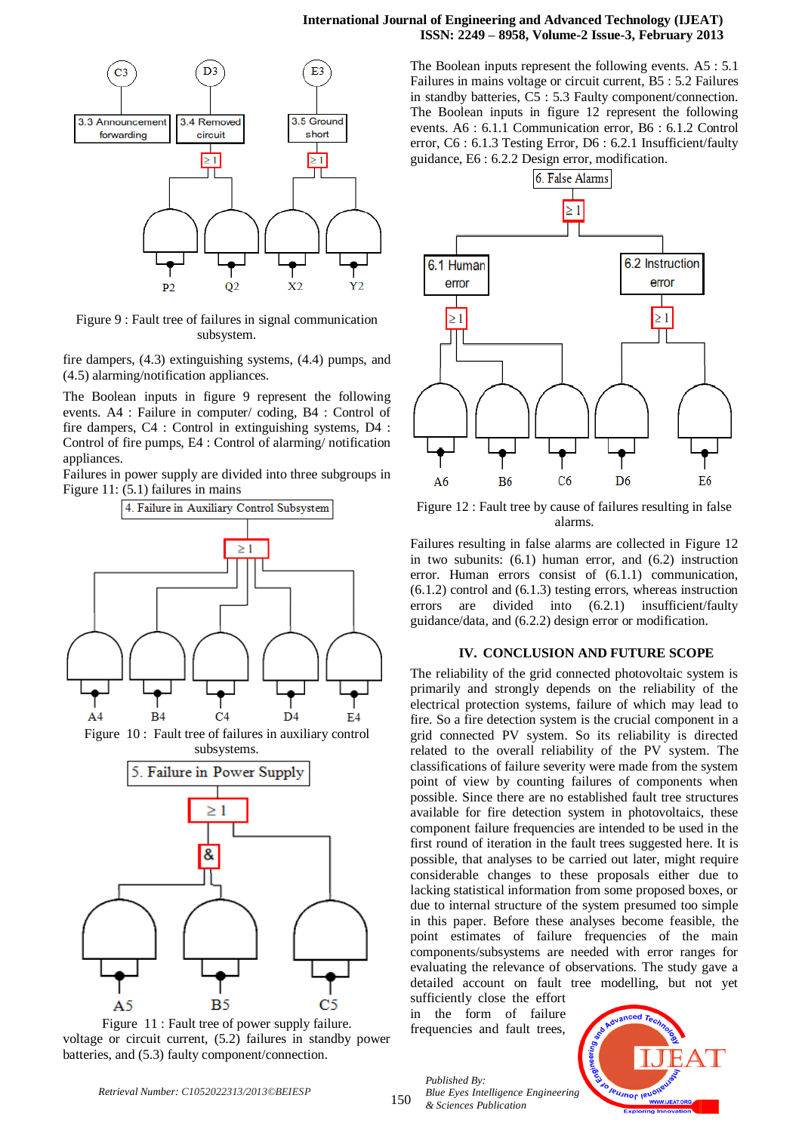

Figure 9 : Fault tree of failures in signal communication subsystem.

fire dampers, (4.3) extinguishing systems, (4.4) pumps, and (4.5) alarming/notification appliances.

The Boolean inputs in figure 9 represent the following events. A4 : Failure in computer/ coding, B4 : Control of fire dampers, C4 : Control in extinguishing systems, D4 : Control of fire pumps, E4 : Control of alarming/ notification appliances.

Failures in power supply are divided into three subgroups in Figure 11: (5.1) failures in mains



Figure 11 : Fault tree of power supply failure. voltage or circuit current, (5.2) failures in standby power batteries, and (5.3) faulty component/connection.

The Boolean inputs represent the following events. A5 : 5.1 Failures in mains voltage or circuit current, B5 : 5.2 Failures in standby batteries, C5 : 5.3 Faulty component/connection. The Boolean inputs in figure 12 represent the following events. A6 : 6.1.1 Communication error, B6 : 6.1.2 Control error, C6 : 6.1.3 Testing Error, D6 : 6.2.1 Insufficient/faulty guidance, E6 : 6.2.2 Design error, modification.



Figure 12 : Fault tree by cause of failures resulting in false alarms.

Failures resulting in false alarms are collected in Figure 12 in two subunits: (6.1) human error, and (6.2) instruction error. Human errors consist of (6.1.1) communication, (6.1.2) control and (6.1.3) testing errors, whereas instruction errors are divided into (6.2.1) insufficient/faulty guidance/data, and (6.2.2) design error or modification.

#### **IV. CONCLUSION AND FUTURE SCOPE**

The reliability of the grid connected photovoltaic system is primarily and strongly depends on the reliability of the electrical protection systems, failure of which may lead to fire. So a fire detection system is the crucial component in a grid connected PV system. So its reliability is directed related to the overall reliability of the PV system. The classifications of failure severity were made from the system point of view by counting failures of components when possible. Since there are no established fault tree structures available for fire detection system in photovoltaics, these component failure frequencies are intended to be used in the first round of iteration in the fault trees suggested here. It is possible, that analyses to be carried out later, might require considerable changes to these proposals either due to lacking statistical information from some proposed boxes, or due to internal structure of the system presumed too simple in this paper. Before these analyses become feasible, the point estimates of failure frequencies of the main components/subsystems are needed with error ranges for evaluating the relevance of observations. The study gave a detailed account on fault tree modelling, but not yet

sufficiently close the effort in the form of failure frequencies and fault trees,

*Published By:*